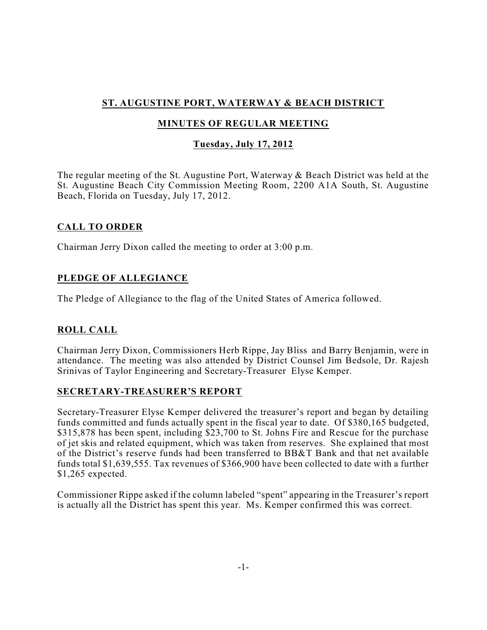# **ST. AUGUSTINE PORT, WATERWAY & BEACH DISTRICT**

## **MINUTES OF REGULAR MEETING**

## **Tuesday, July 17, 2012**

The regular meeting of the St. Augustine Port, Waterway & Beach District was held at the St. Augustine Beach City Commission Meeting Room, 2200 A1A South, St. Augustine Beach, Florida on Tuesday, July 17, 2012.

### **CALL TO ORDER**

Chairman Jerry Dixon called the meeting to order at 3:00 p.m.

## **PLEDGE OF ALLEGIANCE**

The Pledge of Allegiance to the flag of the United States of America followed.

## **ROLL CALL**

Chairman Jerry Dixon, Commissioners Herb Rippe, Jay Bliss and Barry Benjamin, were in attendance. The meeting was also attended by District Counsel Jim Bedsole, Dr. Rajesh Srinivas of Taylor Engineering and Secretary-Treasurer Elyse Kemper.

### **SECRETARY-TREASURER'S REPORT**

Secretary-Treasurer Elyse Kemper delivered the treasurer's report and began by detailing funds committed and funds actually spent in the fiscal year to date. Of \$380,165 budgeted, \$315,878 has been spent, including \$23,700 to St. Johns Fire and Rescue for the purchase of jet skis and related equipment, which was taken from reserves. She explained that most of the District's reserve funds had been transferred to BB&T Bank and that net available funds total \$1,639,555. Tax revenues of \$366,900 have been collected to date with a further \$1,265 expected.

Commissioner Rippe asked if the column labeled "spent" appearing in the Treasurer's report is actually all the District has spent this year. Ms. Kemper confirmed this was correct.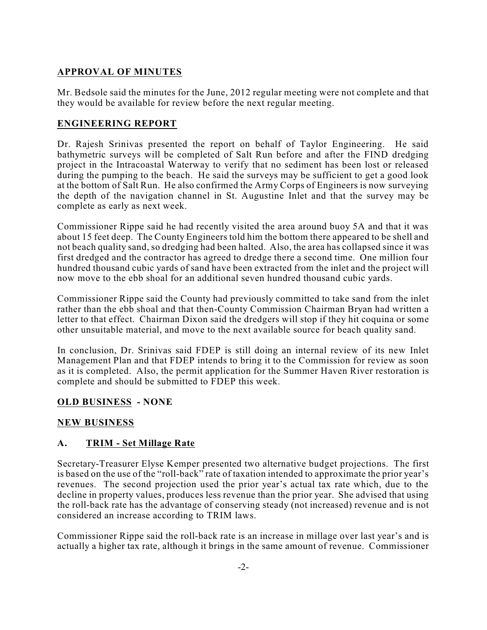### **APPROVAL OF MINUTES**

Mr. Bedsole said the minutes for the June, 2012 regular meeting were not complete and that they would be available for review before the next regular meeting.

### **ENGINEERING REPORT**

Dr. Rajesh Srinivas presented the report on behalf of Taylor Engineering. He said bathymetric surveys will be completed of Salt Run before and after the FIND dredging project in the Intracoastal Waterway to verify that no sediment has been lost or released during the pumping to the beach. He said the surveys may be sufficient to get a good look at the bottom of Salt Run. He also confirmed the Army Corps of Engineers is now surveying the depth of the navigation channel in St. Augustine Inlet and that the survey may be complete as early as next week.

Commissioner Rippe said he had recently visited the area around buoy 5A and that it was about 15 feet deep. The County Engineers told him the bottom there appeared to be shell and not beach quality sand, so dredging had been halted. Also, the area has collapsed since it was first dredged and the contractor has agreed to dredge there a second time. One million four hundred thousand cubic yards of sand have been extracted from the inlet and the project will now move to the ebb shoal for an additional seven hundred thousand cubic yards.

Commissioner Rippe said the County had previously committed to take sand from the inlet rather than the ebb shoal and that then-County Commission Chairman Bryan had written a letter to that effect. Chairman Dixon said the dredgers will stop if they hit coquina or some other unsuitable material, and move to the next available source for beach quality sand.

In conclusion, Dr. Srinivas said FDEP is still doing an internal review of its new Inlet Management Plan and that FDEP intends to bring it to the Commission for review as soon as it is completed. Also, the permit application for the Summer Haven River restoration is complete and should be submitted to FDEP this week.

### **OLD BUSINESS - NONE**

### **NEW BUSINESS**

### **A. TRIM - Set Millage Rate**

Secretary-Treasurer Elyse Kemper presented two alternative budget projections. The first is based on the use of the "roll-back" rate of taxation intended to approximate the prior year's revenues. The second projection used the prior year's actual tax rate which, due to the decline in property values, produces less revenue than the prior year. She advised that using the roll-back rate has the advantage of conserving steady (not increased) revenue and is not considered an increase according to TRIM laws.

Commissioner Rippe said the roll-back rate is an increase in millage over last year's and is actually a higher tax rate, although it brings in the same amount of revenue. Commissioner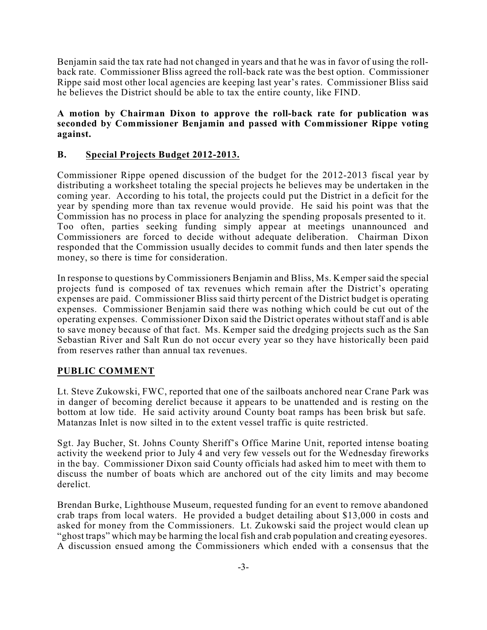Benjamin said the tax rate had not changed in years and that he was in favor of using the rollback rate. Commissioner Bliss agreed the roll-back rate was the best option. Commissioner Rippe said most other local agencies are keeping last year's rates. Commissioner Bliss said he believes the District should be able to tax the entire county, like FIND.

#### **A motion by Chairman Dixon to approve the roll-back rate for publication was seconded by Commissioner Benjamin and passed with Commissioner Rippe voting against.**

#### **B. Special Projects Budget 2012-2013.**

Commissioner Rippe opened discussion of the budget for the 2012-2013 fiscal year by distributing a worksheet totaling the special projects he believes may be undertaken in the coming year. According to his total, the projects could put the District in a deficit for the year by spending more than tax revenue would provide. He said his point was that the Commission has no process in place for analyzing the spending proposals presented to it. Too often, parties seeking funding simply appear at meetings unannounced and Commissioners are forced to decide without adequate deliberation. Chairman Dixon responded that the Commission usually decides to commit funds and then later spends the money, so there is time for consideration.

In response to questions by Commissioners Benjamin and Bliss, Ms. Kemper said the special projects fund is composed of tax revenues which remain after the District's operating expenses are paid. Commissioner Bliss said thirty percent of the District budget is operating expenses. Commissioner Benjamin said there was nothing which could be cut out of the operating expenses. Commissioner Dixon said the District operates without staff and is able to save money because of that fact. Ms. Kemper said the dredging projects such as the San Sebastian River and Salt Run do not occur every year so they have historically been paid from reserves rather than annual tax revenues.

### **PUBLIC COMMENT**

Lt. Steve Zukowski, FWC, reported that one of the sailboats anchored near Crane Park was in danger of becoming derelict because it appears to be unattended and is resting on the bottom at low tide. He said activity around County boat ramps has been brisk but safe. Matanzas Inlet is now silted in to the extent vessel traffic is quite restricted.

Sgt. Jay Bucher, St. Johns County Sheriff's Office Marine Unit, reported intense boating activity the weekend prior to July 4 and very few vessels out for the Wednesday fireworks in the bay. Commissioner Dixon said County officials had asked him to meet with them to discuss the number of boats which are anchored out of the city limits and may become derelict.

Brendan Burke, Lighthouse Museum, requested funding for an event to remove abandoned crab traps from local waters. He provided a budget detailing about \$13,000 in costs and asked for money from the Commissioners. Lt. Zukowski said the project would clean up "ghost traps" which may be harming the local fish and crab population and creating eyesores. A discussion ensued among the Commissioners which ended with a consensus that the